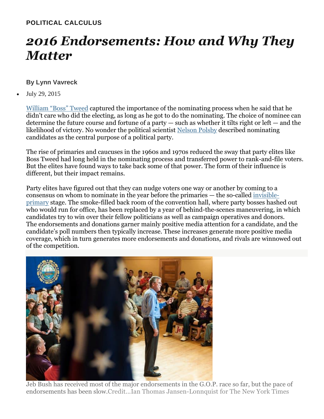## **POLITICAL CALCULUS**

## *2016 Endorsements: How and Why They Matter*

## **By Lynn Vavreck**

July 29, 2015

[William](http://www.biography.com/people/boss-tweed-20967991) "Boss" Tweed captured the importance of the nominating process when he said that he didn't care who did the electing, as long as he got to do the nominating. The choice of nominee can determine the future course and fortune of a party  $-$  such as whether it tilts right or left  $-$  and the likelihood of victory. No wonder the political scientist [Nelson](http://www.nytimes.com/2007/02/09/obituaries/09polsby.html?_r=0) Polsby described nominating candidates as the central purpose of a political party.

The rise of primaries and caucuses in the 1960s and 1970s reduced the sway that party elites like Boss Tweed had long held in the nominating process and transferred power to rank-and-file voters. But the elites have found ways to take back some of that power. The form of their influence is different, but their impact remains.

Party elites have figured out that they can nudge voters one way or another by coming to a consensus on whom to nominate in the year before the primaries — the so-called [invisible](http://www.nytimes.com/2015/04/10/upshot/-2015-04-10-2016-elections-upshot-the-gop-presidential-field-looks-chaotic-its-nothtml.html)[primary](http://www.nytimes.com/2015/04/10/upshot/-2015-04-10-2016-elections-upshot-the-gop-presidential-field-looks-chaotic-its-nothtml.html) stage. The smoke-filled back room of the convention hall, where party bosses hashed out who would run for office, has been replaced by a year of behind-the-scenes maneuvering, in which candidates try to win over their fellow politicians as well as campaign operatives and donors. The endorsements and donations garner mainly positive media attention for a candidate, and the candidate's poll numbers then typically increase. These increases generate more positive media coverage, which in turn generates more endorsements and donations, and rivals are winnowed out of the competition.



Jeb Bush has received most of the major endorsements in the G.O.P. race so far, but the pace of endorsements has been slow.Credit...Ian Thomas Jansen-Lonnquist for The New York Times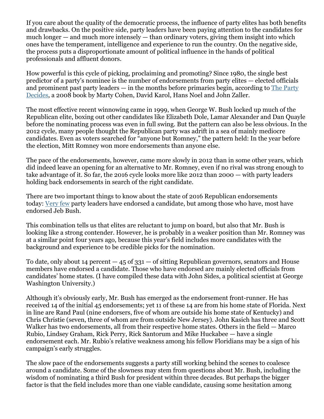If you care about the quality of the democratic process, the influence of party elites has both benefits and drawbacks. On the positive side, party leaders have been paying attention to the candidates for much longer  $-$  and much more intensely  $-$  than ordinary voters, giving them insight into which ones have the temperament, intelligence and experience to run the country. On the negative side, the process puts a disproportionate amount of political influence in the hands of political professionals and affluent donors.

How powerful is this cycle of picking, proclaiming and promoting? Since 1980, the single best predictor of a party's nominee is the number of endorsements from party elites — elected officials and prominent past party leaders — in the months before primaries begin, according to The [Party](http://press.uchicago.edu/ucp/books/book/chicago/P/bo5921600.html) [Decides,](http://press.uchicago.edu/ucp/books/book/chicago/P/bo5921600.html) a 2008 book by Marty Cohen, David Karol, Hans Noel and John Zaller.

The most effective recent winnowing came in 1999, when George W. Bush locked up much of the Republican elite, boxing out other candidates like Elizabeth Dole, Lamar Alexander and Dan Quayle before the nominating process was even in full swing. But the pattern can also be less obvious. In the 2012 cycle, many people thought the Republican party was adrift in a sea of mainly mediocre candidates. Even as voters searched for "anyone but Romney," the pattern held: In the year before the election, Mitt Romney won more endorsements than anyone else.

The pace of the endorsements, however, came more slowly in 2012 than in some other years, which did indeed leave an opening for an alternative to Mr. Romney, even if no rival was strong enough to take advantage of it. So far, the 2016 cycle looks more like 2012 than 2000 — with party leaders holding back endorsements in search of the right candidate.

There are two important things to know about the state of 2016 Republican endorsements today: [Very](http://www.washingtonpost.com/blogs/monkey-cage/wp/2015/07/08/the-unsettled-uncertain-undecided-republican-presidential-primary-in-one-graph/) few party leaders have endorsed a candidate, but among those who have, most have endorsed Jeb Bush.

This combination tells us that elites are reluctant to jump on board, but also that Mr. Bush is looking like a strong contender. However, he is probably in a weaker position than Mr. Romney was at a similar point four years ago, because this year's field includes more candidates with the background and experience to be credible picks for the nomination.

To date, only about 14 percent  $-45$  of  $331 -$  of sitting Republican governors, senators and House members have endorsed a candidate. Those who have endorsed are mainly elected officials from candidates' home states. (I have compiled these data with John Sides, a political scientist at George Washington University.)

Although it's obviously early, Mr. Bush has emerged as the endorsement front-runner. He has received 14 of the initial 45 endorsements; yet 11 of these 14 are from his home state of Florida. Next in line are Rand Paul (nine endorsers, five of whom are outside his home state of Kentucky) and Chris Christie (seven, three of whom are from outside New Jersey). John Kasich has three and Scott Walker has two endorsements, all from their respective home states. Others in the field — Marco Rubio, Lindsey Graham, Rick Perry, Rick Santorum and Mike Huckabee — have a single endorsement each. Mr. Rubio's relative weakness among his fellow Floridians may be a sign of his campaign's early struggles.

The slow pace of the endorsements suggests a party still working behind the scenes to coalesce around a candidate. Some of the slowness may stem from questions about Mr. Bush, including the wisdom of nominating a third Bush for president within three decades. But perhaps the bigger factor is that the field includes more than one viable candidate, causing some hesitation among